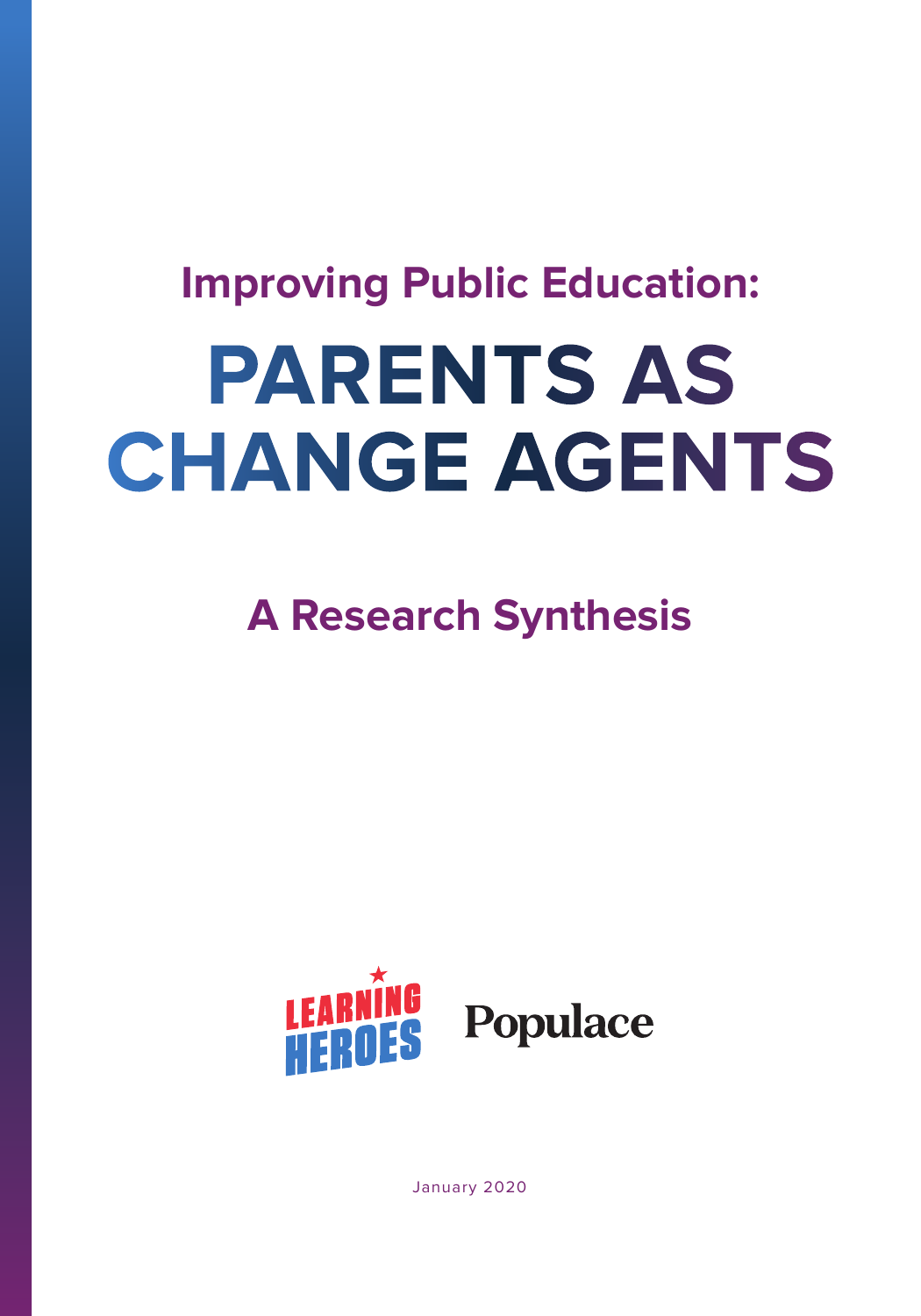# **PARENTS AS CHANGE AGENTS Improving Public Education:**

**A Research Synthesis**



January 2020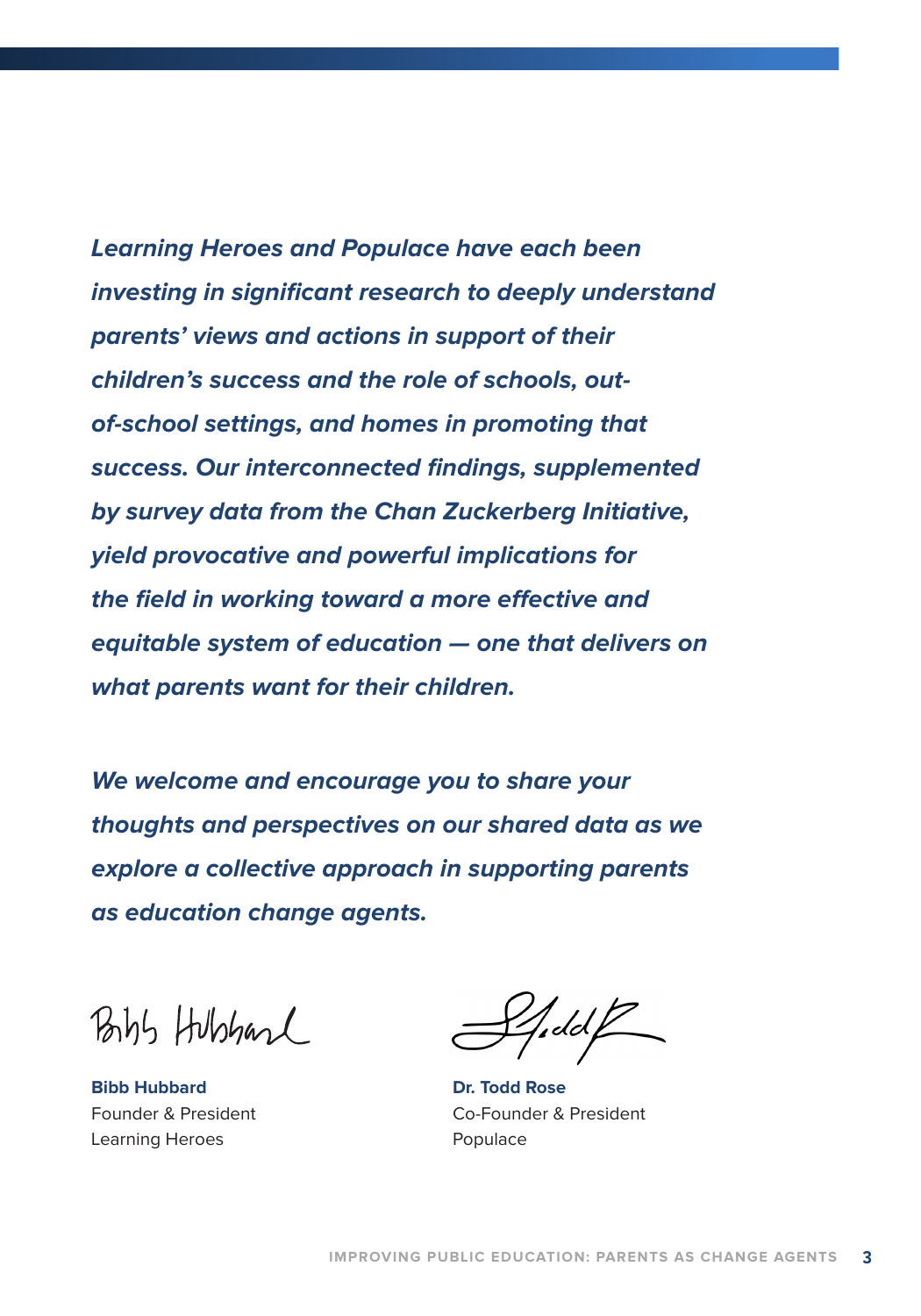**Learning Heroes and Populace have each been investing in significant research to deeply understand parents' views and actions in support of their children's success and the role of schools, outof-school settings, and homes in promoting that success. Our interconnected findings, supplemented by survey data from the Chan Zuckerberg Initiative, yield provocative and powerful implications for the field in working toward a more effective and equitable system of education — one that delivers on what parents want for their children.**

**We welcome and encourage you to share your thoughts and perspectives on our shared data as we explore a collective approach in supporting parents as education change agents.**

Bibs Hubbard

**Bibb Hubbard** Founder & President Learning Heroes

 $\frac{1}{2}$ dd $\frac{1}{2}$ 

**Dr. Todd Rose** Co-Founder & President Populace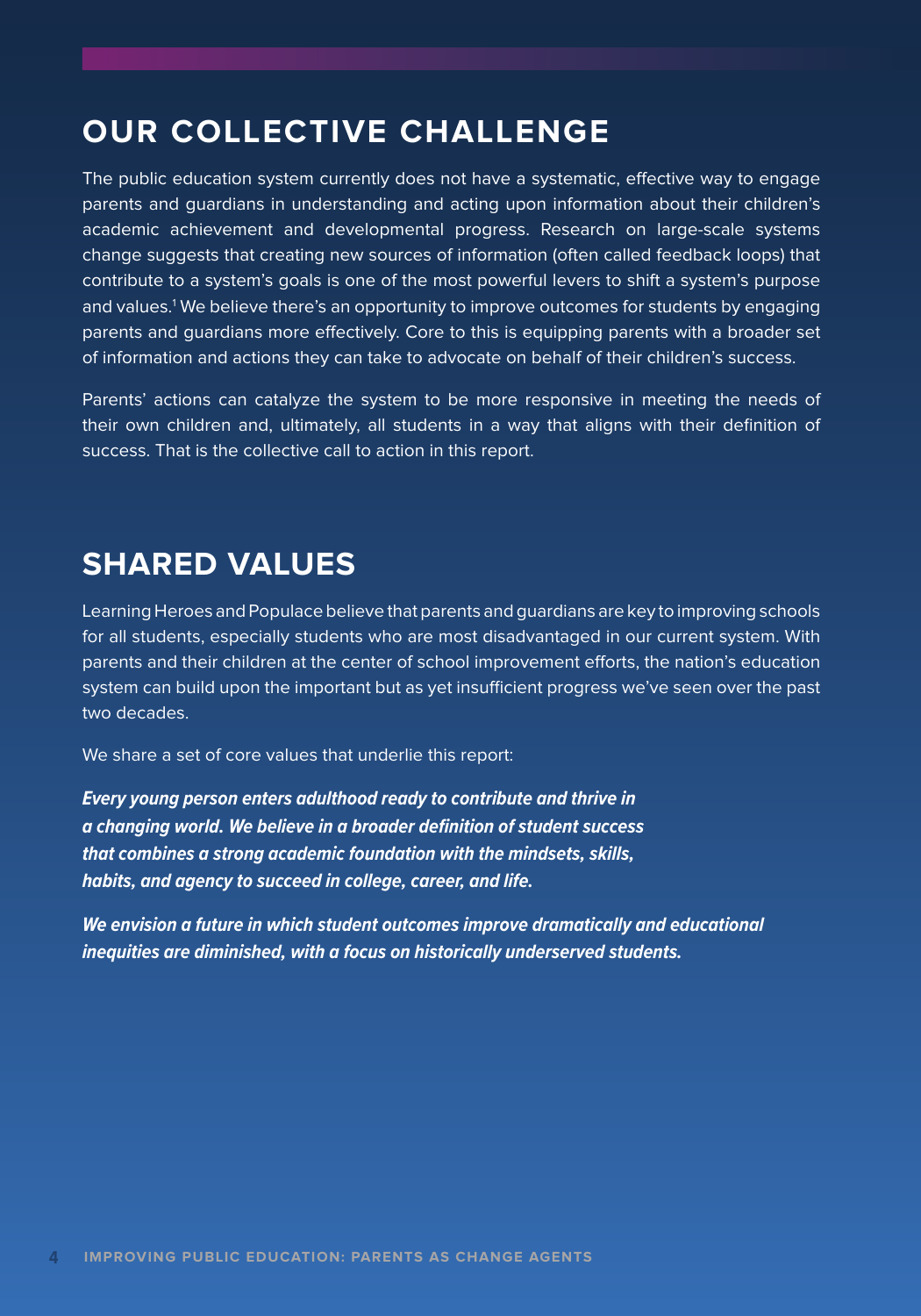## **OUR COLLECTIVE CHALLENGE**

The public education system currently does not have a systematic, effective way to engage parents and guardians in understanding and acting upon information about their children's academic achievement and developmental progress. Research on large-scale systems change suggests that creating new sources of information (often called feedback loops) that contribute to a system's goals is one of the most powerful levers to shift a system's purpose and values.1 We believe there's an opportunity to improve outcomes for students by engaging parents and guardians more effectively. Core to this is equipping parents with a broader set of information and actions they can take to advocate on behalf of their children's success.

Parents' actions can catalyze the system to be more responsive in meeting the needs of their own children and, ultimately, all students in a way that aligns with their definition of success. That is the collective call to action in this report.

## **SHARED VALUES**

Learning Heroes and Populace believe that parents and guardians are key to improving schools for all students, especially students who are most disadvantaged in our current system. With parents and their children at the center of school improvement efforts, the nation's education system can build upon the important but as yet insufficient progress we've seen over the past two decades.

We share a set of core values that underlie this report:

*Every young person enters adulthood ready to contribute and thrive in a changing world. We believe in a broader definition of student success that combines a strong academic foundation with the mindsets, skills, habits, and agency to succeed in college, career, and life.* 

*We envision a future in which student outcomes improve dramatically and educational inequities are diminished, with a focus on historically underserved students.*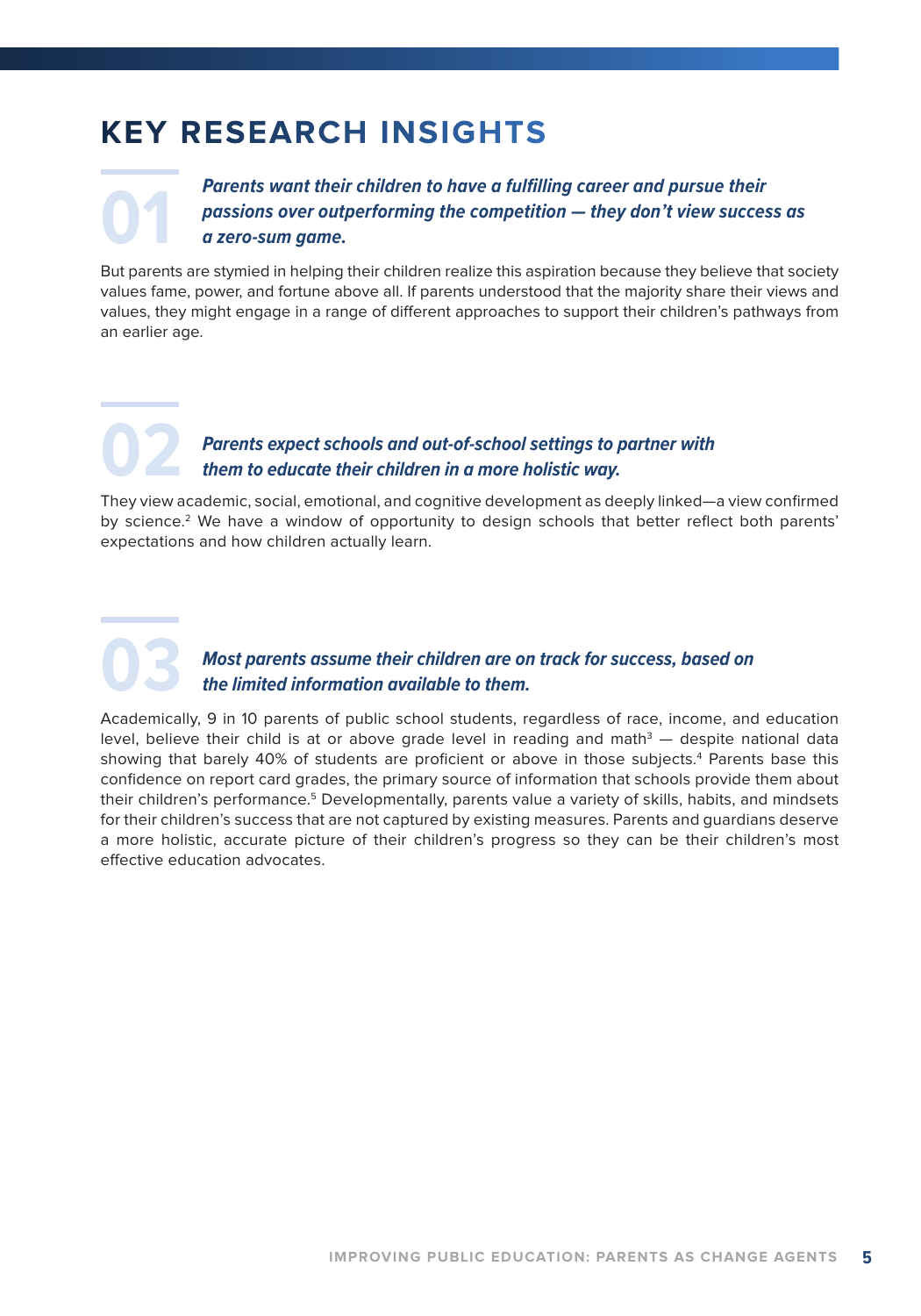# **KEY RESEARCH INSIGHTS**

**Parents want their children to have a fulfilling career and pursue their passions over outperforming the competition — they don't view succes a zero-sum game.** *passions over outperforming the competition — they don't view success as a zero-sum game.*

But parents are stymied in helping their children realize this aspiration because they believe that society values fame, power, and fortune above all. If parents understood that the majority share their views and values, they might engage in a range of different approaches to support their children's pathways from an earlier age.

## **02** *Parents expect schools and out-of-school settings to partner with them to educate their children in a more holistic way.*

They view academic, social, emotional, and cognitive development as deeply linked—a view confirmed by science.<sup>2</sup> We have a window of opportunity to design schools that better reflect both parents' expectations and how children actually learn.

## **03** *Most parents assume their children are on track for success, based on the limited information available to them.*

Academically, 9 in 10 parents of public school students, regardless of race, income, and education level, believe their child is at or above grade level in reading and math $3-$  despite national data showing that barely 40% of students are proficient or above in those subjects.<sup>4</sup> Parents base this confidence on report card grades, the primary source of information that schools provide them about their children's performance.<sup>5</sup> Developmentally, parents value a variety of skills, habits, and mindsets for their children's success that are not captured by existing measures. Parents and guardians deserve a more holistic, accurate picture of their children's progress so they can be their children's most effective education advocates.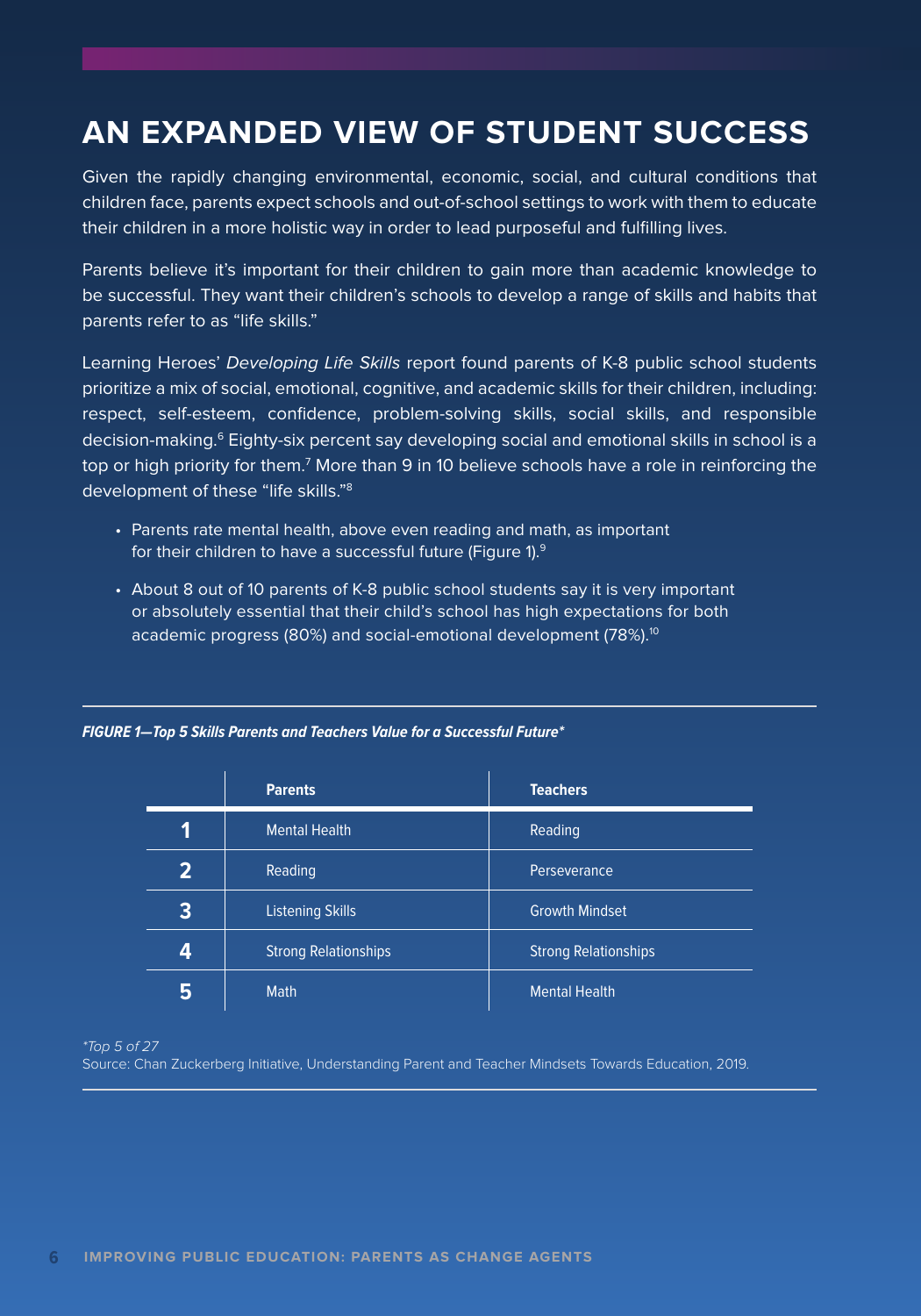# **AN EXPANDED VIEW OF STUDENT SUCCESS**

Given the rapidly changing environmental, economic, social, and cultural conditions that children face, parents expect schools and out-of-school settings to work with them to educate their children in a more holistic way in order to lead purposeful and fulfilling lives.

Parents believe it's important for their children to gain more than academic knowledge to be successful. They want their children's schools to develop a range of skills and habits that parents refer to as "life skills."

Learning Heroes' Developing Life Skills report found parents of K-8 public school students prioritize a mix of social, emotional, cognitive, and academic skills for their children, including: respect, self-esteem, confidence, problem-solving skills, social skills, and responsible decision-making.<sup>6</sup> Eighty-six percent say developing social and emotional skills in school is a top or high priority for them.<sup>7</sup> More than 9 in 10 believe schools have a role in reinforcing the development of these "life skills."<sup>8</sup>

- Parents rate mental health, above even reading and math, as important for their children to have a successful future (Figure 1).9
- About 8 out of 10 parents of K-8 public school students say it is very important or absolutely essential that their child's school has high expectations for both academic progress (80%) and social-emotional development (78%).<sup>10</sup>

|                | <b>Parents</b>              | <b>Teachers</b>             |
|----------------|-----------------------------|-----------------------------|
|                | <b>Mental Health</b>        | Reading                     |
| $\overline{2}$ | Reading                     | Perseverance                |
| 3              | <b>Listening Skills</b>     | <b>Growth Mindset</b>       |
| 4              | <b>Strong Relationships</b> | <b>Strong Relationships</b> |
| 5              | <b>Math</b>                 | <b>Mental Health</b>        |

\*Top 5 of 27

Source: Chan Zuckerberg Initiative, Understanding Parent and Teacher Mindsets Towards Education, 2019.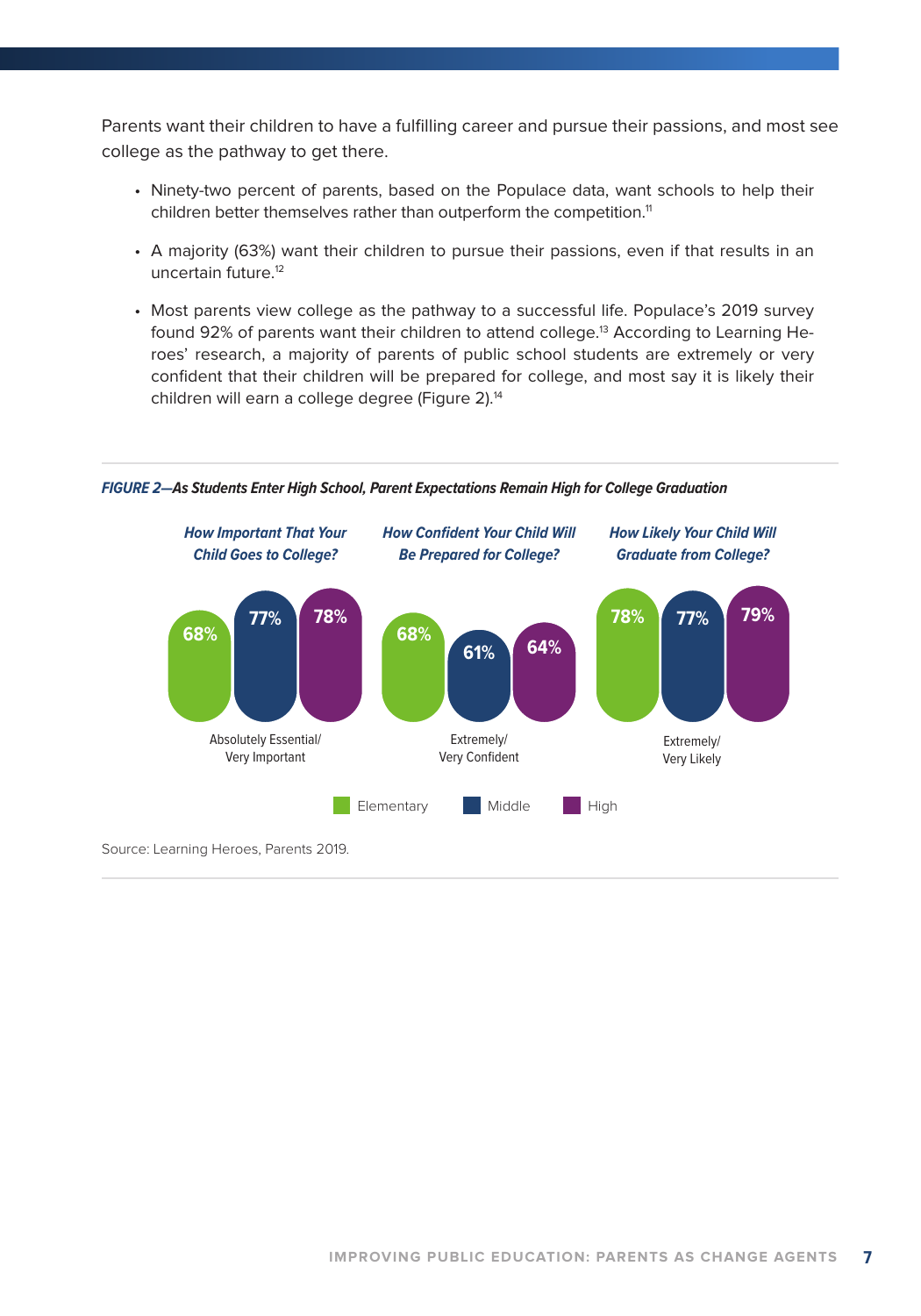Parents want their children to have a fulfilling career and pursue their passions, and most see college as the pathway to get there.

- Ninety-two percent of parents, based on the Populace data, want schools to help their children better themselves rather than outperform the competition.<sup>11</sup>
- A majority (63%) want their children to pursue their passions, even if that results in an uncertain future.12
- Most parents view college as the pathway to a successful life. Populace's 2019 survey found 92% of parents want their children to attend college.<sup>13</sup> According to Learning Heroes' research, a majority of parents of public school students are extremely or very confident that their children will be prepared for college, and most say it is likely their children will earn a college degree (Figure 2).<sup>14</sup>



*FIGURE 2—As Students Enter High School, Parent Expectations Remain High for College Graduation*

Source: Learning Heroes, Parents 2019.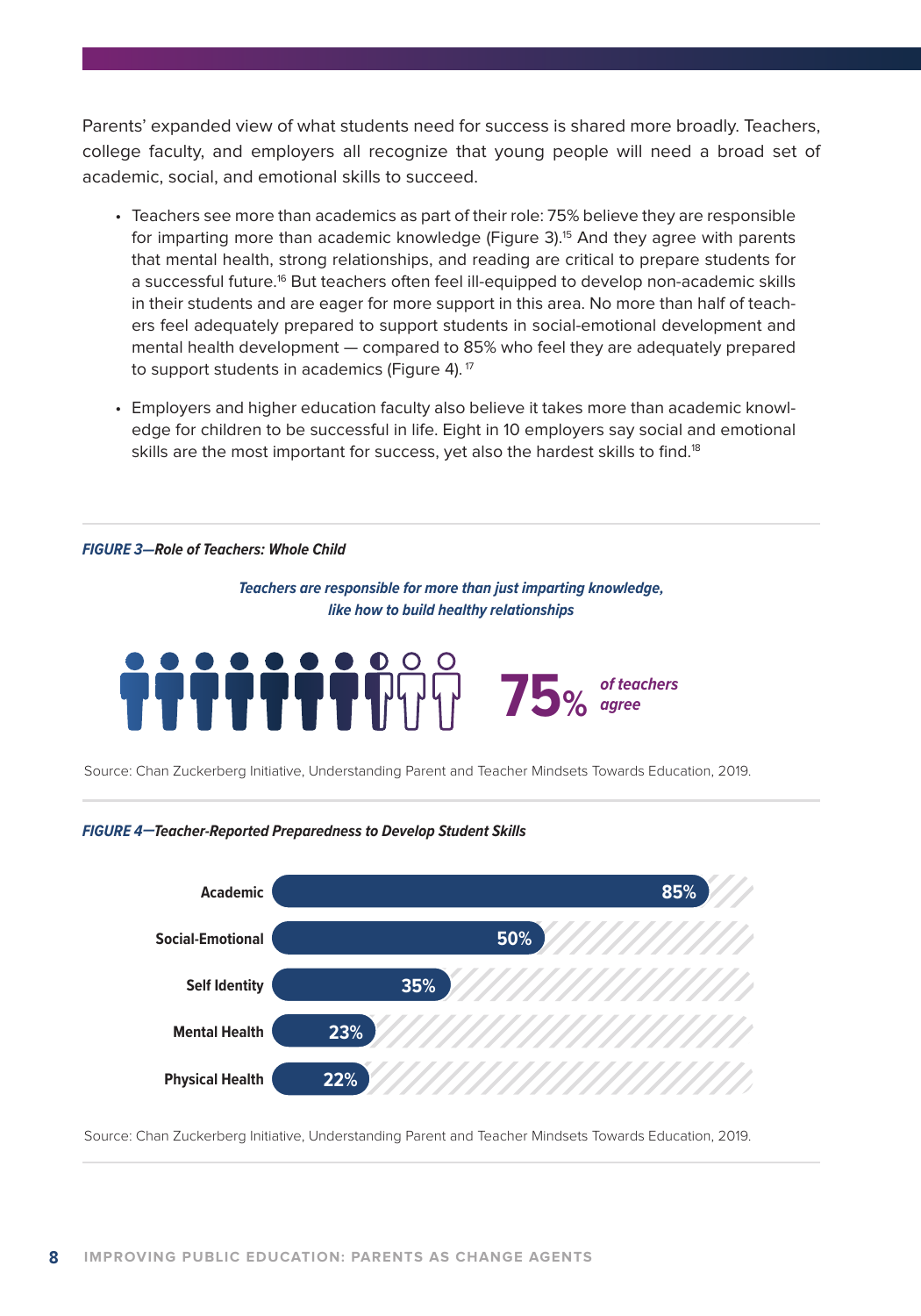Parents' expanded view of what students need for success is shared more broadly. Teachers, college faculty, and employers all recognize that young people will need a broad set of academic, social, and emotional skills to succeed.

- Teachers see more than academics as part of their role: 75% believe they are responsible for imparting more than academic knowledge (Figure 3).<sup>15</sup> And they agree with parents that mental health, strong relationships, and reading are critical to prepare students for a successful future.16 But teachers often feel ill-equipped to develop non-academic skills in their students and are eager for more support in this area. No more than half of teachers feel adequately prepared to support students in social-emotional development and mental health development — compared to 85% who feel they are adequately prepared to support students in academics (Figure 4).<sup>17</sup>
- Employers and higher education faculty also believe it takes more than academic knowledge for children to be successful in life. Eight in 10 employers say social and emotional skills are the most important for success, yet also the hardest skills to find.<sup>18</sup>

#### *FIGURE 3—Role of Teachers: Whole Child*

*Teachers are responsible for more than just imparting knowledge, like how to build healthy relationships*



Source: Chan Zuckerberg Initiative, Understanding Parent and Teacher Mindsets Towards Education, 2019.

*FIGURE 4—Teacher-Reported Preparedness to Develop Student Skills*



Source: Chan Zuckerberg Initiative, Understanding Parent and Teacher Mindsets Towards Education, 2019.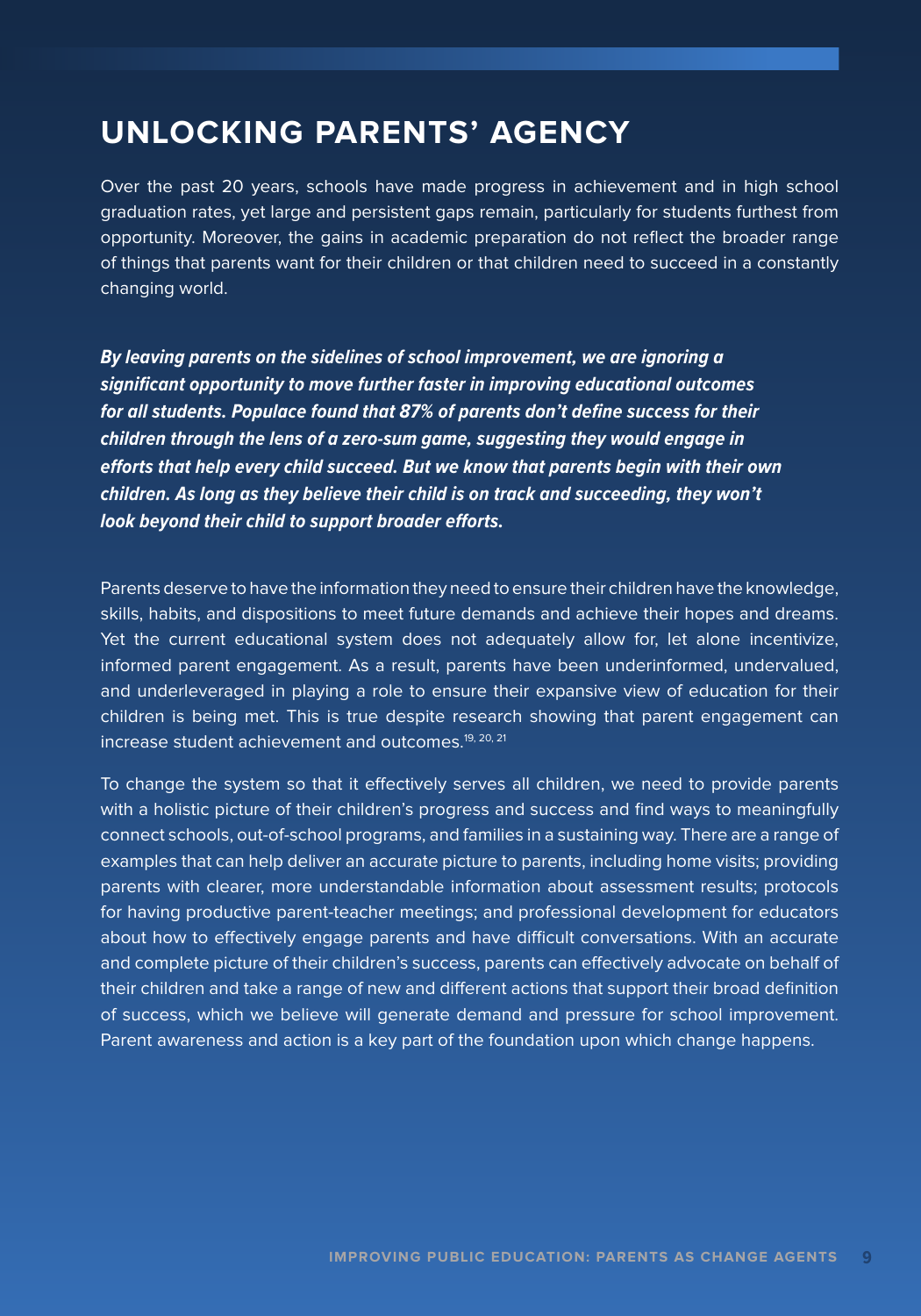## **UNLOCKING PARENTS' AGENCY**

Over the past 20 years, schools have made progress in achievement and in high school graduation rates, yet large and persistent gaps remain, particularly for students furthest from opportunity. Moreover, the gains in academic preparation do not reflect the broader range of things that parents want for their children or that children need to succeed in a constantly changing world.

*By leaving parents on the sidelines of school improvement, we are ignoring a significant opportunity to move further faster in improving educational outcomes for all students. Populace found that 87% of parents don't define success for their children through the lens of a zero-sum game, suggesting they would engage in efforts that help every child succeed. But we know that parents begin with their own children. As long as they believe their child is on track and succeeding, they won't look beyond their child to support broader efforts.*

Parents deserve to have the information they need to ensure their children have the knowledge, skills, habits, and dispositions to meet future demands and achieve their hopes and dreams. Yet the current educational system does not adequately allow for, let alone incentivize, informed parent engagement. As a result, parents have been underinformed, undervalued, and underleveraged in playing a role to ensure their expansive view of education for their children is being met. This is true despite research showing that parent engagement can increase student achievement and outcomes.<sup>19, 20, 21</sup>

To change the system so that it effectively serves all children, we need to provide parents with a holistic picture of their children's progress and success and find ways to meaningfully connect schools, out-of-school programs, and families in a sustaining way. There are a range of examples that can help deliver an accurate picture to parents, including home visits; providing parents with clearer, more understandable information about assessment results; protocols for having productive parent-teacher meetings; and professional development for educators about how to effectively engage parents and have difficult conversations. With an accurate and complete picture of their children's success, parents can effectively advocate on behalf of their children and take a range of new and different actions that support their broad definition of success, which we believe will generate demand and pressure for school improvement. Parent awareness and action is a key part of the foundation upon which change happens.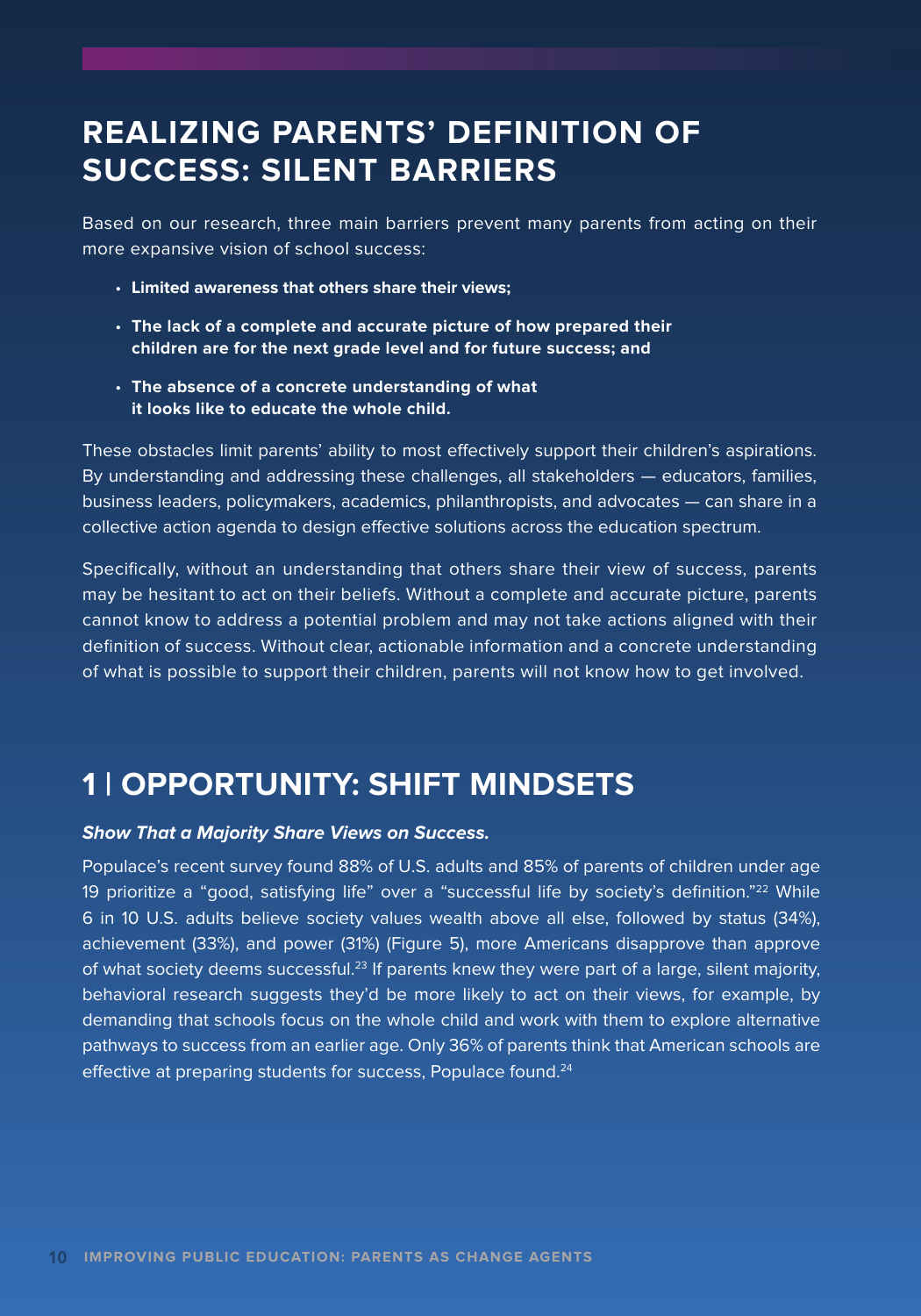# **REALIZING PARENTS' DEFINITION OF SUCCESS: SILENT BARRIERS**

Based on our research, three main barriers prevent many parents from acting on their more expansive vision of school success:

- **Limited awareness that others share their views;**
- **The lack of a complete and accurate picture of how prepared their children are for the next grade level and for future success; and**
- **The absence of a concrete understanding of what it looks like to educate the whole child.**

These obstacles limit parents' ability to most effectively support their children's aspirations. By understanding and addressing these challenges, all stakeholders — educators, families, business leaders, policymakers, academics, philanthropists, and advocates — can share in a collective action agenda to design effective solutions across the education spectrum.

Specifically, without an understanding that others share their view of success, parents may be hesitant to act on their beliefs. Without a complete and accurate picture, parents cannot know to address a potential problem and may not take actions aligned with their definition of success. Without clear, actionable information and a concrete understanding of what is possible to support their children, parents will not know how to get involved.

## **1 | OPPORTUNITY: SHIFT MINDSETS**

#### **Show That a Majority Share Views on Success.**

Populace's recent survey found 88% of U.S. adults and 85% of parents of children under age 19 prioritize a "good, satisfying life" over a "successful life by society's definition."22 While 6 in 10 U.S. adults believe society values wealth above all else, followed by status (34%), achievement (33%), and power (31%) (Figure 5), more Americans disapprove than approve of what society deems successful.<sup>23</sup> If parents knew they were part of a large, silent majority, behavioral research suggests they'd be more likely to act on their views, for example, by demanding that schools focus on the whole child and work with them to explore alternative pathways to success from an earlier age. Only 36% of parents think that American schools are effective at preparing students for success, Populace found.<sup>24</sup>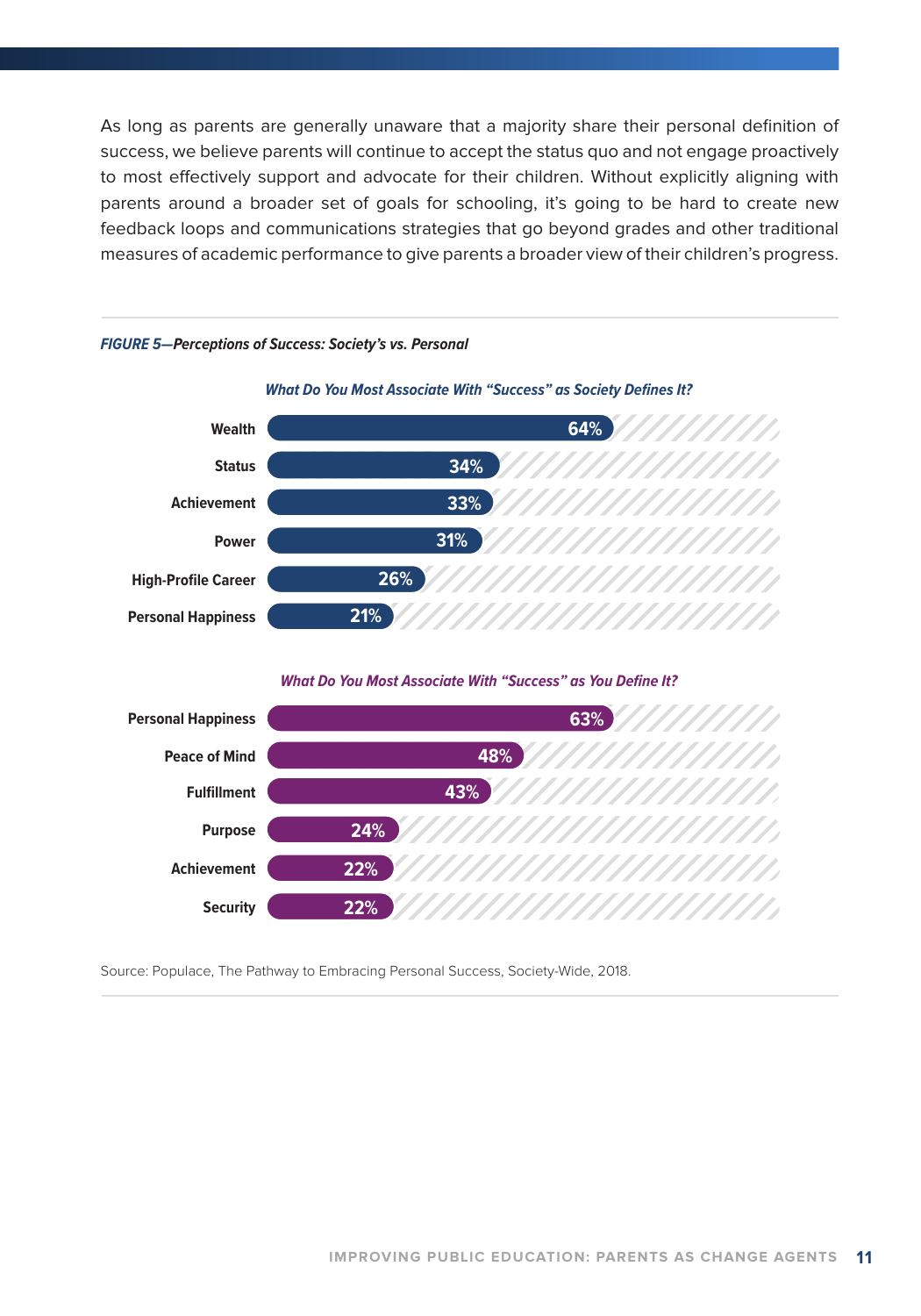As long as parents are generally unaware that a majority share their personal definition of success, we believe parents will continue to accept the status quo and not engage proactively to most effectively support and advocate for their children. Without explicitly aligning with parents around a broader set of goals for schooling, it's going to be hard to create new feedback loops and communications strategies that go beyond grades and other traditional measures of academic performance to give parents a broader view of their children's progress.



*FIGURE 5—Perceptions of Success: Society's vs. Personal*

*What Do You Most Associate With "Success" as You Define It?*



Source: Populace, The Pathway to Embracing Personal Success, Society-Wide, 2018.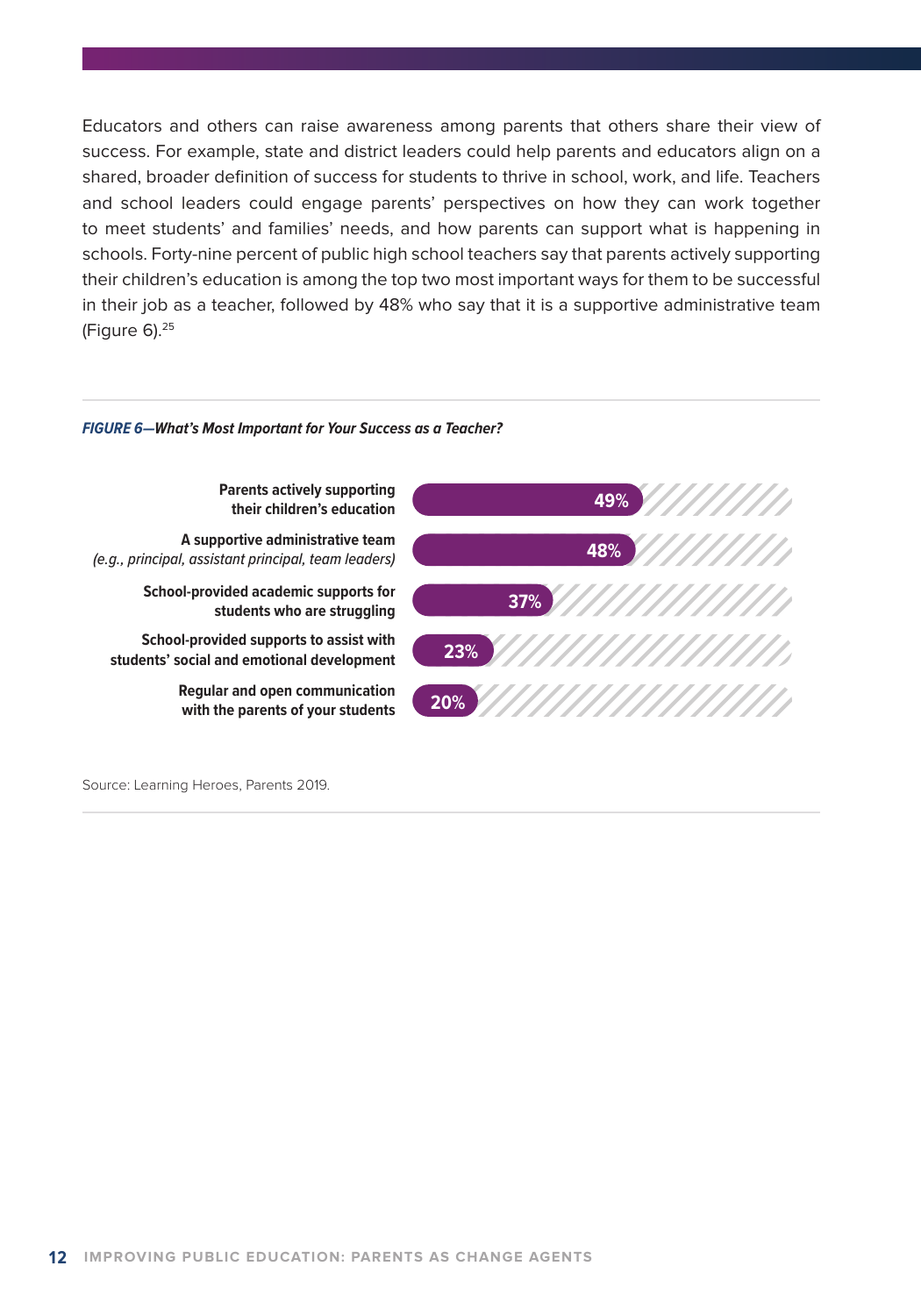Educators and others can raise awareness among parents that others share their view of success. For example, state and district leaders could help parents and educators align on a shared, broader definition of success for students to thrive in school, work, and life. Teachers and school leaders could engage parents' perspectives on how they can work together to meet students' and families' needs, and how parents can support what is happening in schools. Forty-nine percent of public high school teachers say that parents actively supporting their children's education is among the top two most important ways for them to be successful in their job as a teacher, followed by 48% who say that it is a supportive administrative team (Figure 6).25

#### *FIGURE 6—What's Most Important for Your Success as a Teacher?*



Source: Learning Heroes, Parents 2019.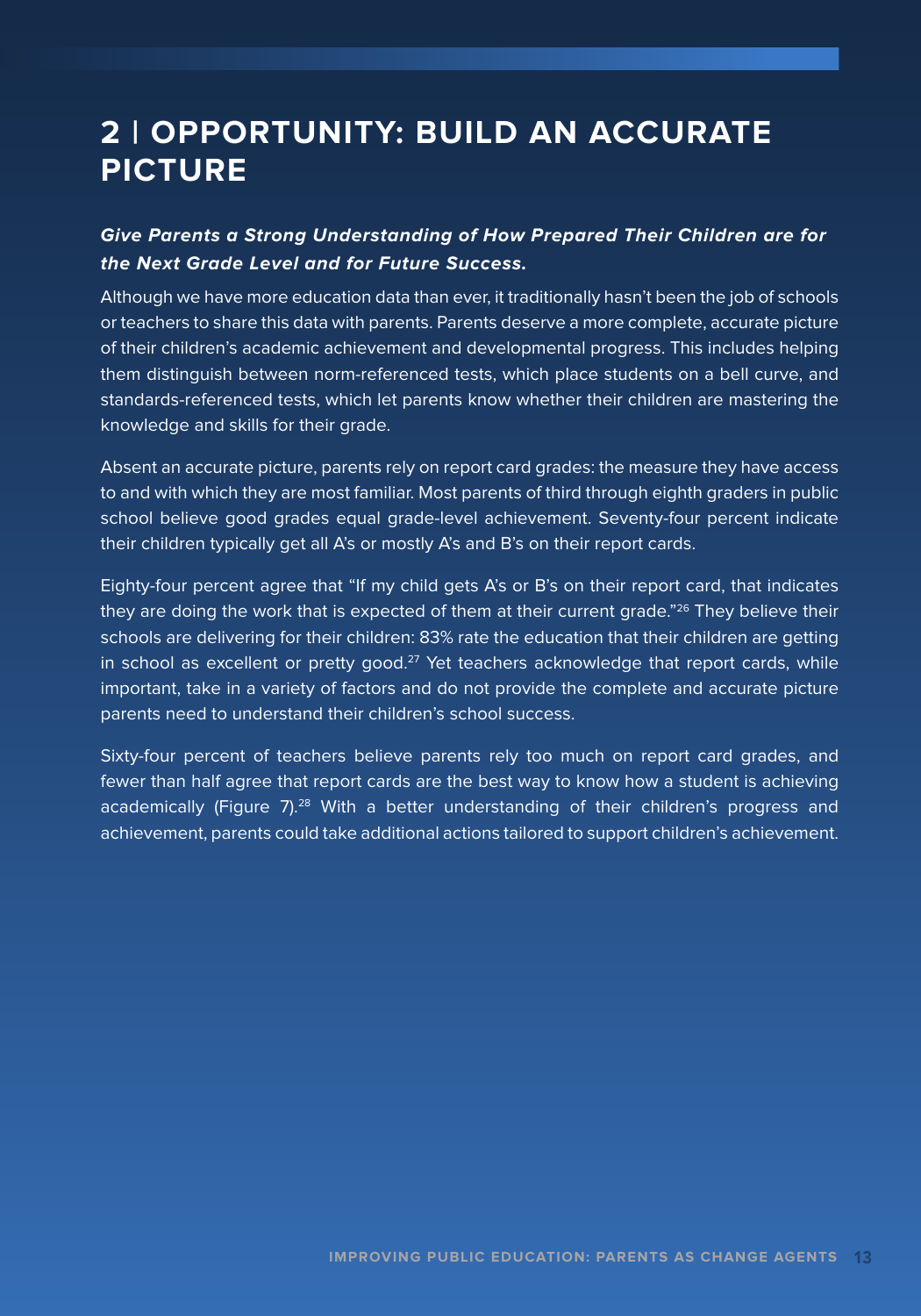# **2 | OPPORTUNITY: BUILD AN ACCURATE PICTURE**

### **Give Parents a Strong Understanding of How Prepared Their Children are for the Next Grade Level and for Future Success.**

Although we have more education data than ever, it traditionally hasn't been the job of schools or teachers to share this data with parents. Parents deserve a more complete, accurate picture of their children's academic achievement and developmental progress. This includes helping them distinguish between norm-referenced tests, which place students on a bell curve, and standards-referenced tests, which let parents know whether their children are mastering the knowledge and skills for their grade.

Absent an accurate picture, parents rely on report card grades: the measure they have access to and with which they are most familiar. Most parents of third through eighth graders in public school believe good grades equal grade-level achievement. Seventy-four percent indicate their children typically get all A's or mostly A's and B's on their report cards.

Eighty-four percent agree that "If my child gets A's or B's on their report card, that indicates they are doing the work that is expected of them at their current grade."<sup>26</sup> They believe their schools are delivering for their children: 83% rate the education that their children are getting in school as excellent or pretty good.<sup>27</sup> Yet teachers acknowledge that report cards, while important, take in a variety of factors and do not provide the complete and accurate picture parents need to understand their children's school success.

Sixty-four percent of teachers believe parents rely too much on report card grades, and fewer than half agree that report cards are the best way to know how a student is achieving academically (Figure 7).<sup>28</sup> With a better understanding of their children's progress and achievement, parents could take additional actions tailored to support children's achievement.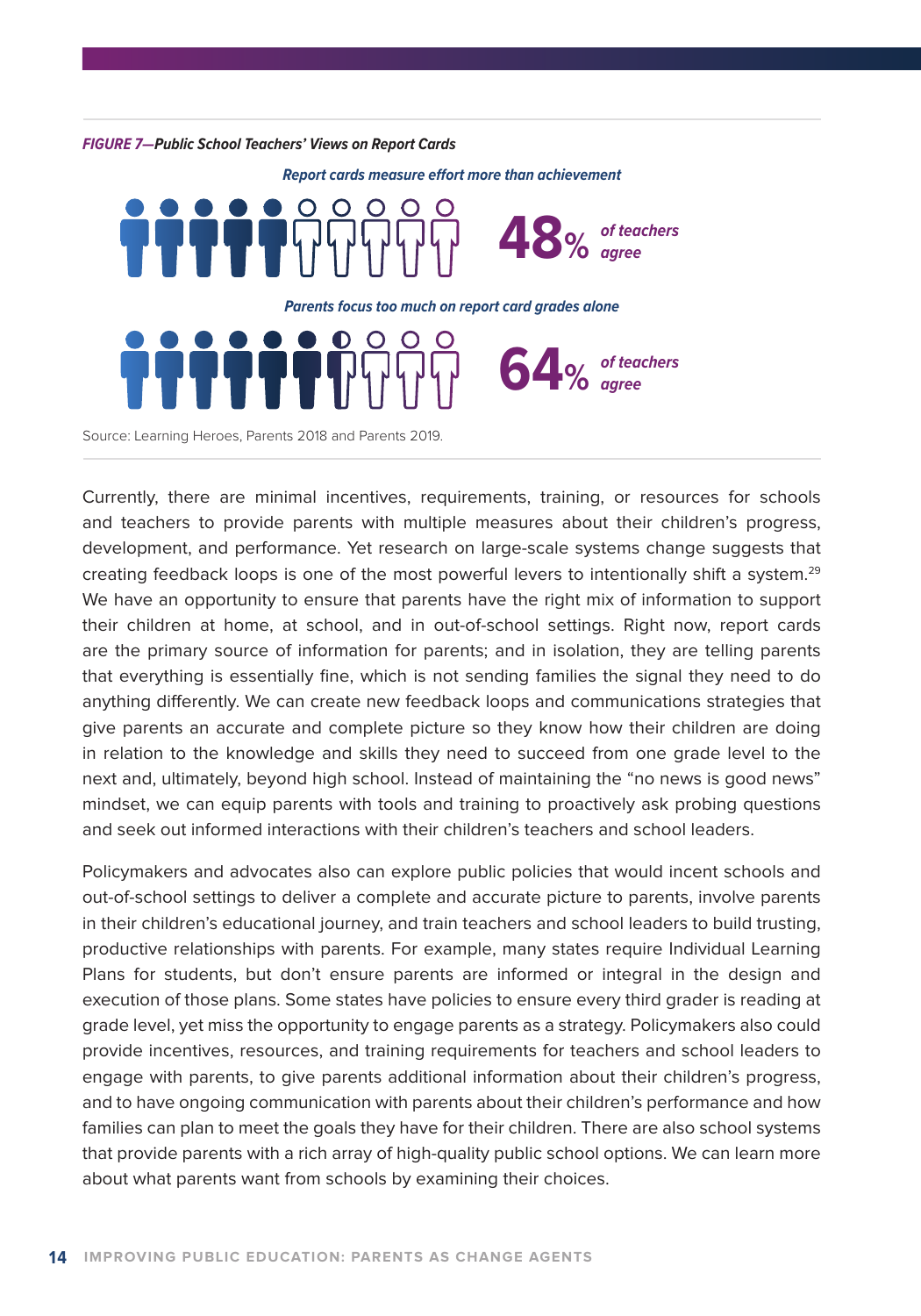

Currently, there are minimal incentives, requirements, training, or resources for schools and teachers to provide parents with multiple measures about their children's progress, development, and performance. Yet research on large-scale systems change suggests that creating feedback loops is one of the most powerful levers to intentionally shift a system.<sup>29</sup> We have an opportunity to ensure that parents have the right mix of information to support their children at home, at school, and in out-of-school settings. Right now, report cards are the primary source of information for parents; and in isolation, they are telling parents that everything is essentially fine, which is not sending families the signal they need to do anything differently. We can create new feedback loops and communications strategies that give parents an accurate and complete picture so they know how their children are doing in relation to the knowledge and skills they need to succeed from one grade level to the next and, ultimately, beyond high school. Instead of maintaining the "no news is good news" mindset, we can equip parents with tools and training to proactively ask probing questions and seek out informed interactions with their children's teachers and school leaders.

Policymakers and advocates also can explore public policies that would incent schools and out-of-school settings to deliver a complete and accurate picture to parents, involve parents in their children's educational journey, and train teachers and school leaders to build trusting, productive relationships with parents. For example, many states require Individual Learning Plans for students, but don't ensure parents are informed or integral in the design and execution of those plans. Some states have policies to ensure every third grader is reading at grade level, yet miss the opportunity to engage parents as a strategy. Policymakers also could provide incentives, resources, and training requirements for teachers and school leaders to engage with parents, to give parents additional information about their children's progress, and to have ongoing communication with parents about their children's performance and how families can plan to meet the goals they have for their children. There are also school systems that provide parents with a rich array of high-quality public school options. We can learn more about what parents want from schools by examining their choices.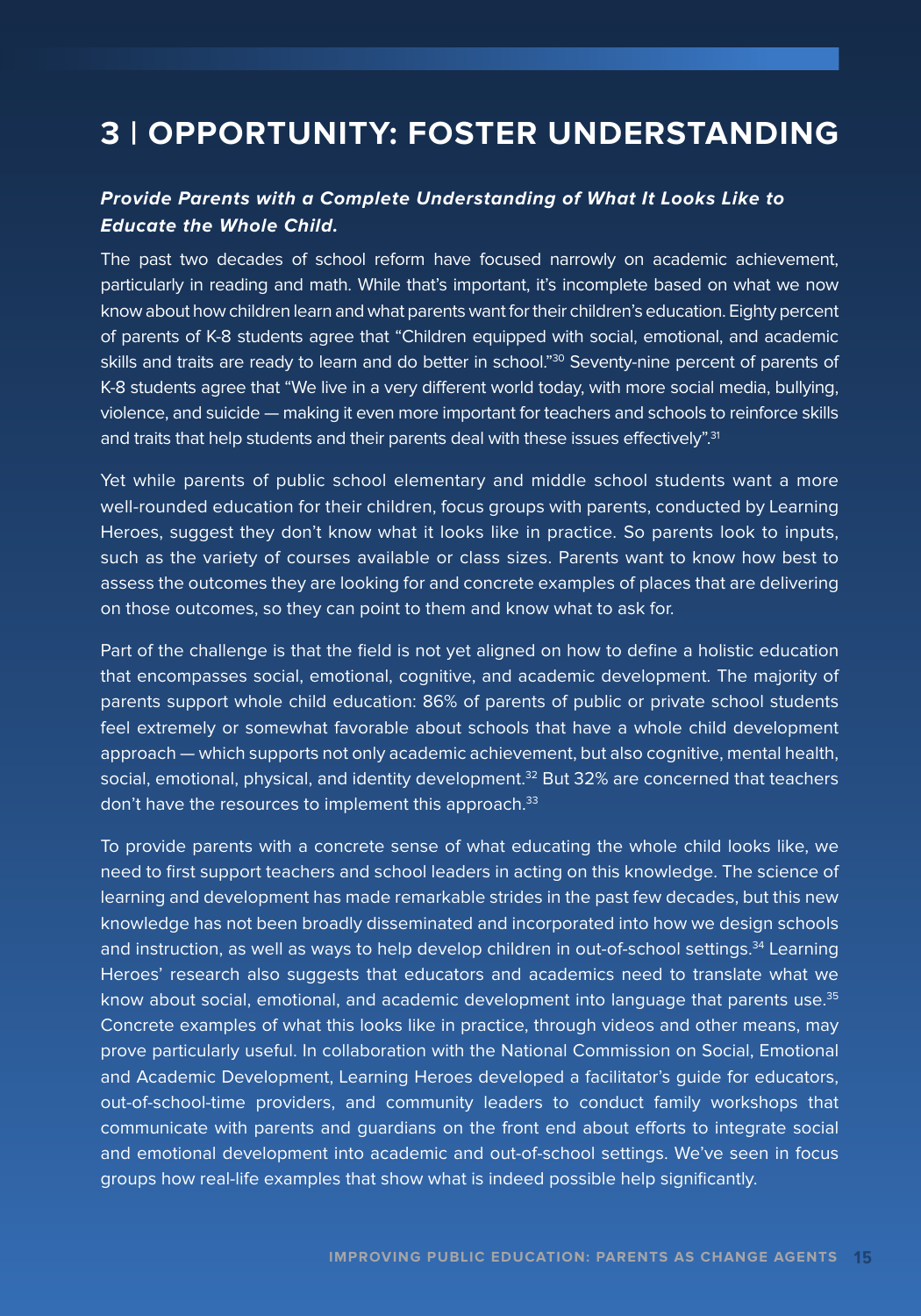## **3 | OPPORTUNITY: FOSTER UNDERSTANDING**

#### **Provide Parents with a Complete Understanding of What It Looks Like to Educate the Whole Child.**

The past two decades of school reform have focused narrowly on academic achievement, particularly in reading and math. While that's important, it's incomplete based on what we now know about how children learn and what parents want for their children's education. Eighty percent of parents of K-8 students agree that "Children equipped with social, emotional, and academic skills and traits are ready to learn and do better in school."<sup>30</sup> Seventy-nine percent of parents of K-8 students agree that "We live in a very different world today, with more social media, bullying, violence, and suicide — making it even more important for teachers and schools to reinforce skills and traits that help students and their parents deal with these issues effectively".<sup>31</sup>

Yet while parents of public school elementary and middle school students want a more well-rounded education for their children, focus groups with parents, conducted by Learning Heroes, suggest they don't know what it looks like in practice. So parents look to inputs, such as the variety of courses available or class sizes. Parents want to know how best to assess the outcomes they are looking for and concrete examples of places that are delivering on those outcomes, so they can point to them and know what to ask for.

Part of the challenge is that the field is not yet aligned on how to define a holistic education that encompasses social, emotional, cognitive, and academic development. The majority of parents support whole child education: 86% of parents of public or private school students feel extremely or somewhat favorable about schools that have a whole child development approach — which supports not only academic achievement, but also cognitive, mental health, social, emotional, physical, and identity development.<sup>32</sup> But 32% are concerned that teachers don't have the resources to implement this approach.<sup>33</sup>

To provide parents with a concrete sense of what educating the whole child looks like, we need to first support teachers and school leaders in acting on this knowledge. The science of learning and development has made remarkable strides in the past few decades, but this new knowledge has not been broadly disseminated and incorporated into how we design schools and instruction, as well as ways to help develop children in out-of-school settings.<sup>34</sup> Learning Heroes' research also suggests that educators and academics need to translate what we know about social, emotional, and academic development into language that parents use.<sup>35</sup> Concrete examples of what this looks like in practice, through videos and other means, may prove particularly useful. In collaboration with the National Commission on Social, Emotional and Academic Development, Learning Heroes developed a facilitator's guide for educators, out-of-school-time providers, and community leaders to conduct family workshops that communicate with parents and guardians on the front end about efforts to integrate social and emotional development into academic and out-of-school settings. We've seen in focus groups how real-life examples that show what is indeed possible help significantly.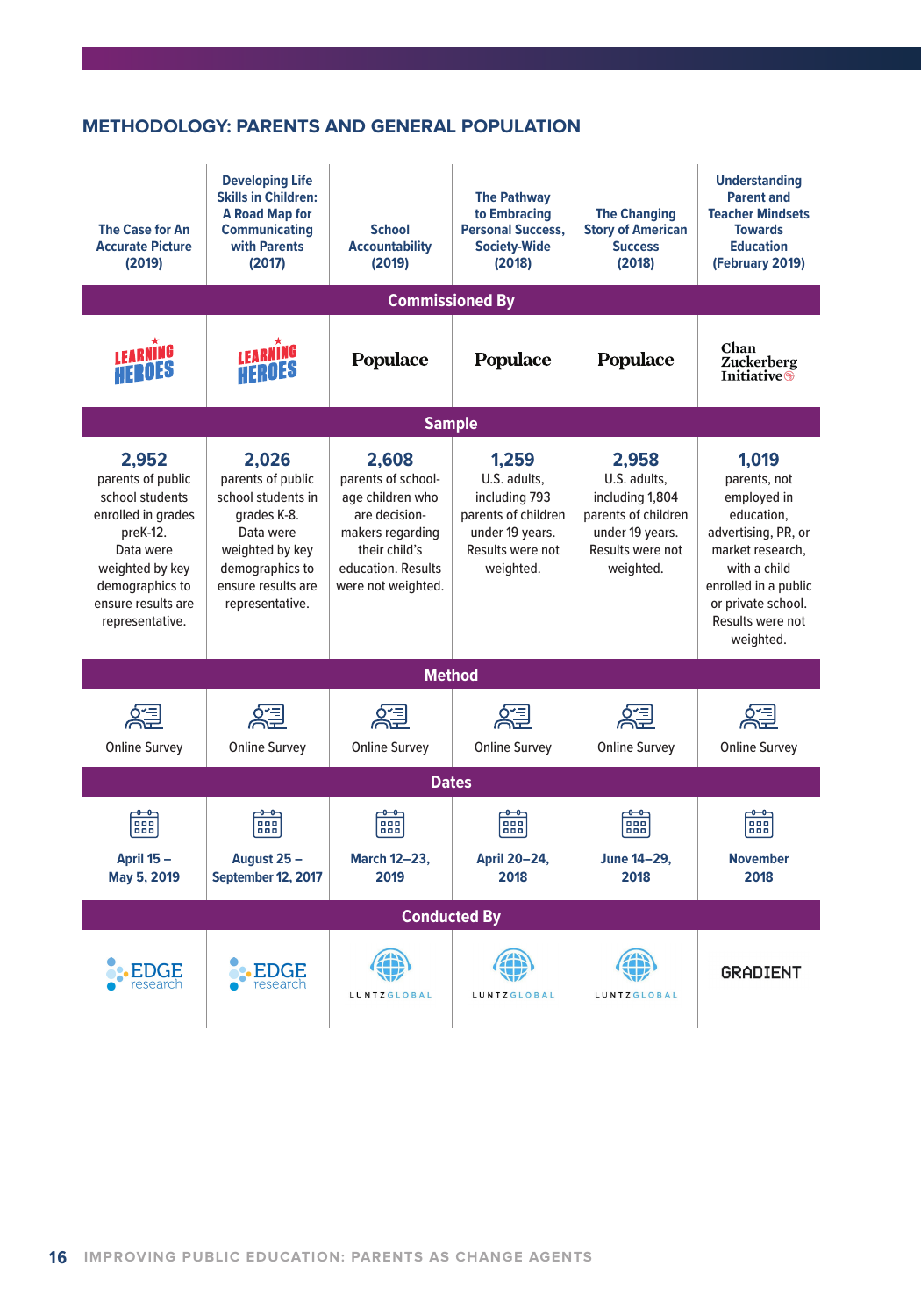#### **METHODOLOGY: PARENTS AND GENERAL POPULATION**

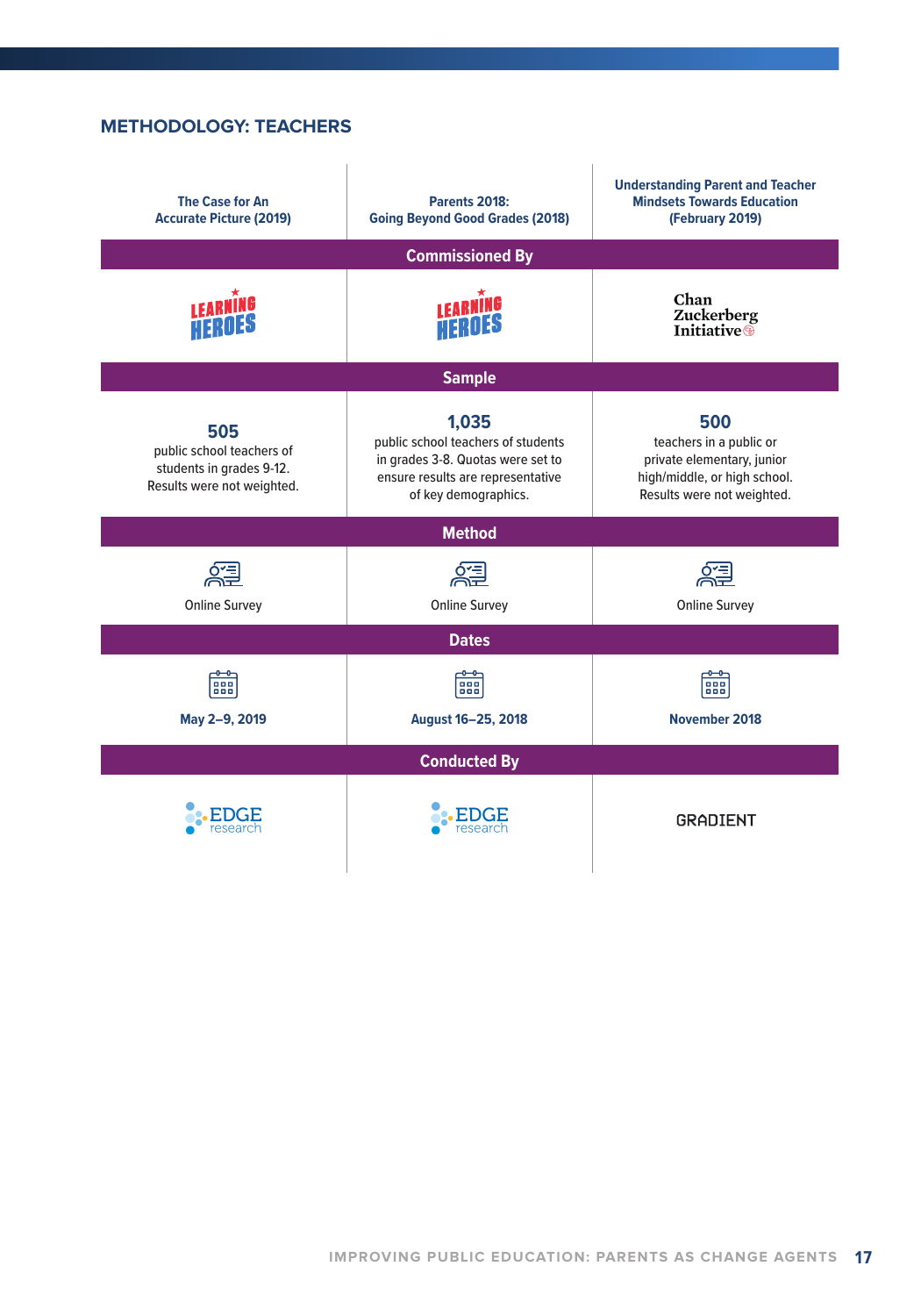#### **METHODOLOGY: TEACHERS**

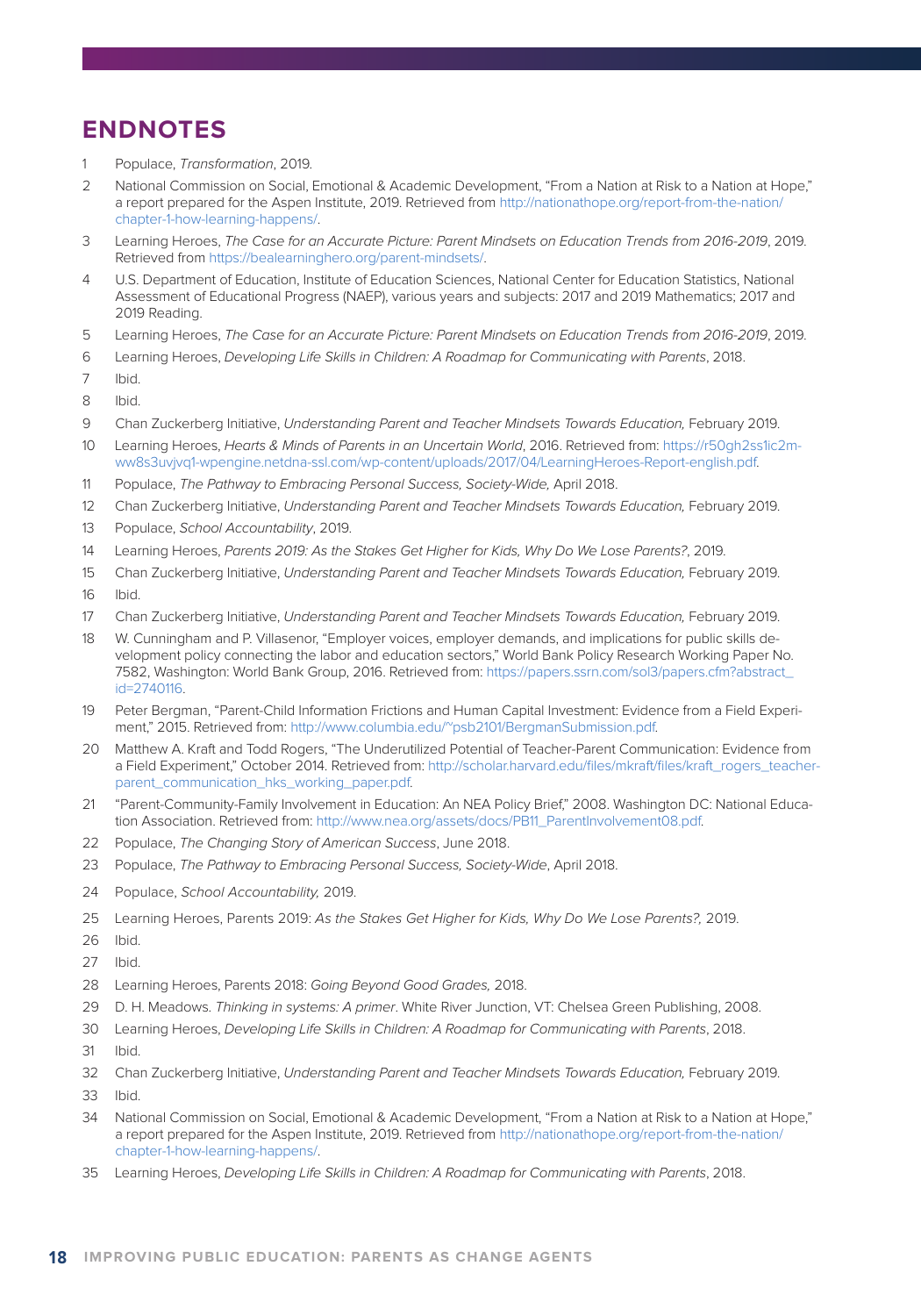## **ENDNOTES**

- Populace, Transformation, 2019.
- 2 National Commission on Social, Emotional & Academic Development, "From a Nation at Risk to a Nation at Hope," a report prepared for the Aspen Institute, 2019. Retrieved from http://nationathope.org/report-from-the-nation/ chapter-1-how-learning-happens/.
- 3 Learning Heroes, The Case for an Accurate Picture: Parent Mindsets on Education Trends from 2016-2019, 2019. Retrieved from https://bealearninghero.org/parent-mindsets/.
- 4 U.S. Department of Education, Institute of Education Sciences, National Center for Education Statistics, National Assessment of Educational Progress (NAEP), various years and subjects: 2017 and 2019 Mathematics; 2017 and 2019 Reading.
- 5 Learning Heroes, The Case for an Accurate Picture: Parent Mindsets on Education Trends from 2016-2019, 2019.
- 6 Learning Heroes, Developing Life Skills in Children: A Roadmap for Communicating with Parents, 2018.
- 7 Ibid.
- 8 Ibid.
- 9 Chan Zuckerberg Initiative, Understanding Parent and Teacher Mindsets Towards Education, February 2019.
- 10 Learning Heroes, Hearts & Minds of Parents in an Uncertain World, 2016. Retrieved from: https://r50gh2ss1ic2mww8s3uvjvq1-wpengine.netdna-ssl.com/wp-content/uploads/2017/04/LearningHeroes-Report-english.pdf.
- 11 Populace, The Pathway to Embracing Personal Success, Society-Wide, April 2018.
- 12 Chan Zuckerberg Initiative, Understanding Parent and Teacher Mindsets Towards Education, February 2019.
- 13 Populace, School Accountability, 2019.
- 14 Learning Heroes, Parents 2019: As the Stakes Get Higher for Kids, Why Do We Lose Parents?, 2019.
- 15 Chan Zuckerberg Initiative, Understanding Parent and Teacher Mindsets Towards Education, February 2019.
- 16 Ibid.
- 17 Chan Zuckerberg Initiative, Understanding Parent and Teacher Mindsets Towards Education, February 2019.
- 18 W. Cunningham and P. Villasenor, "Employer voices, employer demands, and implications for public skills development policy connecting the labor and education sectors," World Bank Policy Research Working Paper No. 7582, Washington: World Bank Group, 2016. Retrieved from: https://papers.ssrn.com/sol3/papers.cfm?abstract\_ id=2740116.
- 19 Peter Bergman, "Parent-Child Information Frictions and Human Capital Investment: Evidence from a Field Experiment," 2015. Retrieved from: http://www.columbia.edu/~psb2101/BergmanSubmission.pdf.
- 20 Matthew A. Kraft and Todd Rogers, "The Underutilized Potential of Teacher-Parent Communication: Evidence from a Field Experiment," October 2014. Retrieved from: http://scholar.harvard.edu/files/mkraft/files/kraft\_rogers\_teacherparent\_communication\_hks\_working\_paper.pdf.
- 21 "Parent-Community-Family Involvement in Education: An NEA Policy Brief," 2008. Washington DC: National Education Association. Retrieved from: http://www.nea.org/assets/docs/PB11\_ParentInvolvement08.pdf.
- 22 Populace, The Changing Story of American Success, June 2018.
- 23 Populace, The Pathway to Embracing Personal Success, Society-Wide, April 2018.
- 24 Populace, School Accountability, 2019.
- 25 Learning Heroes, Parents 2019: As the Stakes Get Higher for Kids, Why Do We Lose Parents?, 2019.
- 26 Ibid.
- 27 Ibid.
- 28 Learning Heroes, Parents 2018: Going Beyond Good Grades, 2018.
- 29 D. H. Meadows. Thinking in systems: A primer. White River Junction, VT: Chelsea Green Publishing, 2008.
- 30 Learning Heroes, Developing Life Skills in Children: A Roadmap for Communicating with Parents, 2018.
- 31 Ibid.
- 32 Chan Zuckerberg Initiative, Understanding Parent and Teacher Mindsets Towards Education, February 2019. 33 Ibid.
- 34 National Commission on Social, Emotional & Academic Development, "From a Nation at Risk to a Nation at Hope," a report prepared for the Aspen Institute, 2019. Retrieved from http://nationathope.org/report-from-the-nation/ chapter-1-how-learning-happens/.
- 35 Learning Heroes, Developing Life Skills in Children: A Roadmap for Communicating with Parents, 2018.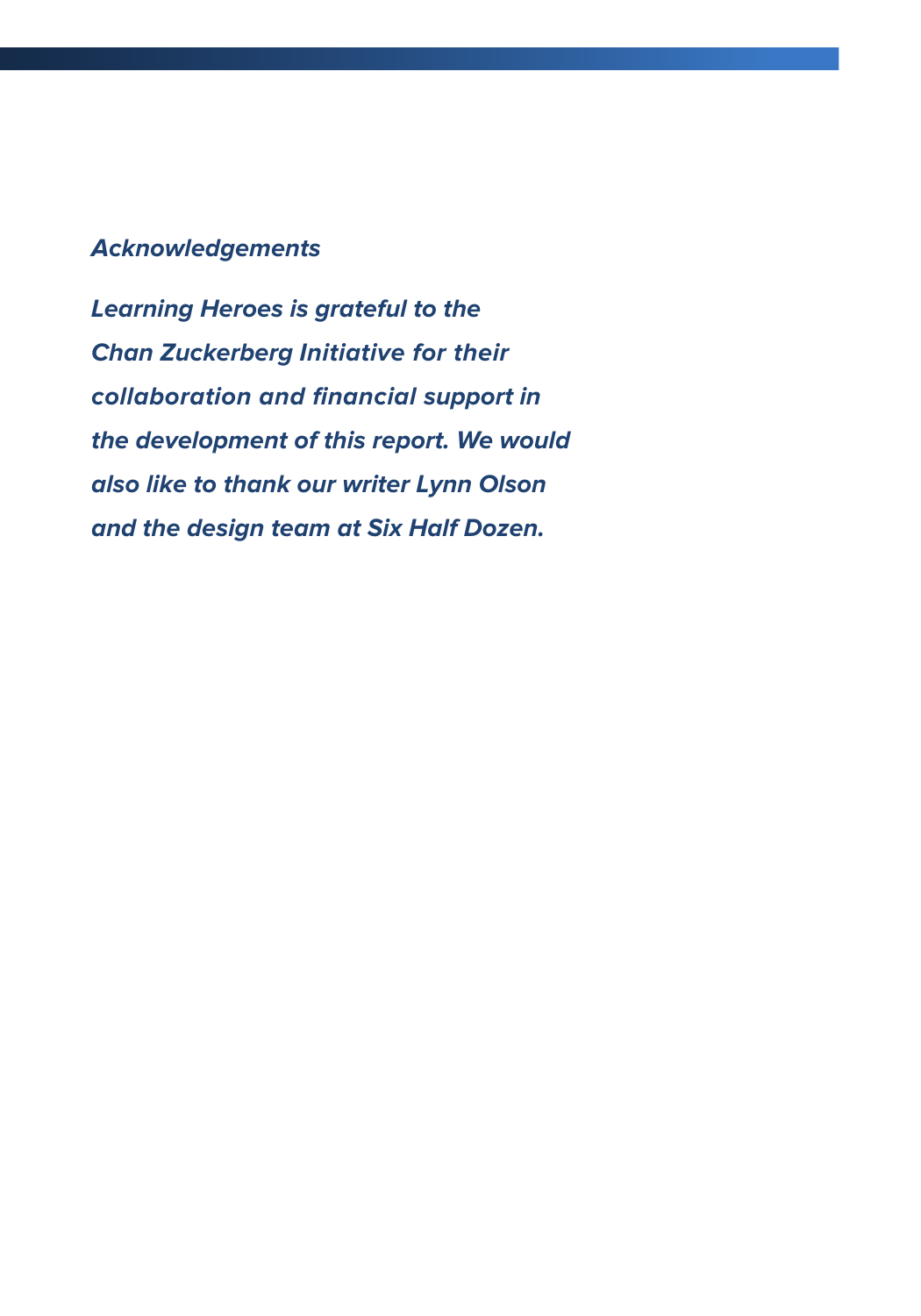## **Acknowledgements**

**Learning Heroes is grateful to the Chan Zuckerberg Initiative for their collaboration and financial support in the development of this report. We would also like to thank our writer Lynn Olson and the design team at Six Half Dozen.**